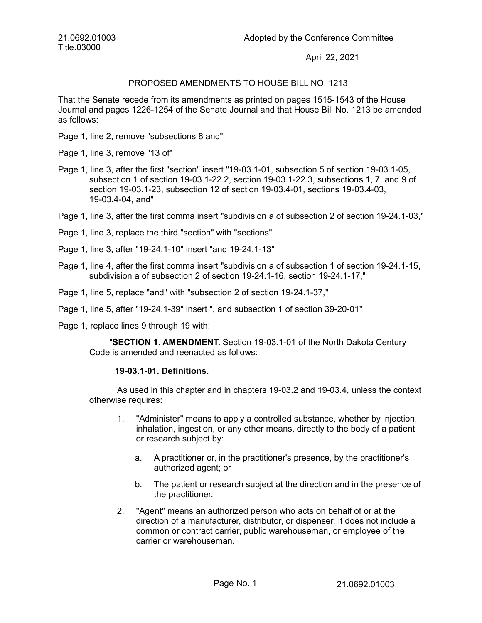21.0692.01003 Title.03000

April 22, 2021

# PROPOSED AMENDMENTS TO HOUSE BILL NO. 1213

That the Senate recede from its amendments as printed on pages 1515-1543 of the House Journal and pages 1226-1254 of the Senate Journal and that House Bill No. 1213 be amended as follows:

- Page 1, line 2, remove "subsections 8 and"
- Page 1, line 3, remove "13 of"
- Page 1, line 3, after the first "section" insert "19-03.1-01, subsection 5 of section 19-03.1-05, subsection 1 of section 19-03.1-22.2, section 19-03.1-22.3, subsections 1, 7, and 9 of section 19-03.1-23, subsection 12 of section 19-03.4-01, sections 19-03.4-03, 19-03.4-04, and"
- Page 1, line 3, after the first comma insert "subdivision a of subsection 2 of section 19-24.1-03,"
- Page 1, line 3, replace the third "section" with "sections"
- Page 1, line 3, after "19-24.1-10" insert "and 19-24.1-13"
- Page 1, line 4, after the first comma insert "subdivision a of subsection 1 of section 19-24.1-15, subdivision a of subsection 2 of section 19-24.1-16, section 19-24.1-17,"
- Page 1, line 5, replace "and" with "subsection 2 of section 19-24.1-37,"
- Page 1, line 5, after "19-24.1-39" insert ", and subsection 1 of section 39-20-01"
- Page 1, replace lines 9 through 19 with:

"**SECTION 1. AMENDMENT.** Section 19-03.1-01 of the North Dakota Century Code is amended and reenacted as follows:

#### **19-03.1-01. Definitions.**

As used in this chapter and in chapters 19-03.2 and 19-03.4, unless the context otherwise requires:

- 1. "Administer" means to apply a controlled substance, whether by injection, inhalation, ingestion, or any other means, directly to the body of a patient or research subject by:
	- a. A practitioner or, in the practitioner's presence, by the practitioner's authorized agent; or
	- b. The patient or research subject at the direction and in the presence of the practitioner.
- 2. "Agent" means an authorized person who acts on behalf of or at the direction of a manufacturer, distributor, or dispenser. It does not include a common or contract carrier, public warehouseman, or employee of the carrier or warehouseman.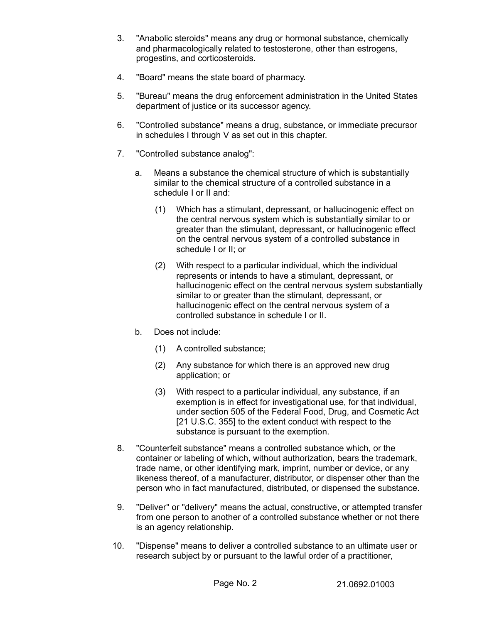- 3. "Anabolic steroids" means any drug or hormonal substance, chemically and pharmacologically related to testosterone, other than estrogens, progestins, and corticosteroids.
- 4. "Board" means the state board of pharmacy.
- 5. "Bureau" means the drug enforcement administration in the United States department of justice or its successor agency.
- 6. "Controlled substance" means a drug, substance, or immediate precursor in schedules I through V as set out in this chapter.
- 7. "Controlled substance analog":
	- a. Means a substance the chemical structure of which is substantially similar to the chemical structure of a controlled substance in a schedule I or II and:
		- (1) Which has a stimulant, depressant, or hallucinogenic effect on the central nervous system which is substantially similar to or greater than the stimulant, depressant, or hallucinogenic effect on the central nervous system of a controlled substance in schedule I or II; or
		- (2) With respect to a particular individual, which the individual represents or intends to have a stimulant, depressant, or hallucinogenic effect on the central nervous system substantially similar to or greater than the stimulant, depressant, or hallucinogenic effect on the central nervous system of a controlled substance in schedule I or II.
	- b. Does not include:
		- (1) A controlled substance;
		- (2) Any substance for which there is an approved new drug application; or
		- (3) With respect to a particular individual, any substance, if an exemption is in effect for investigational use, for that individual, under section 505 of the Federal Food, Drug, and Cosmetic Act [21 U.S.C. 355] to the extent conduct with respect to the substance is pursuant to the exemption.
- 8. "Counterfeit substance" means a controlled substance which, or the container or labeling of which, without authorization, bears the trademark, trade name, or other identifying mark, imprint, number or device, or any likeness thereof, of a manufacturer, distributor, or dispenser other than the person who in fact manufactured, distributed, or dispensed the substance.
- 9. "Deliver" or "delivery" means the actual, constructive, or attempted transfer from one person to another of a controlled substance whether or not there is an agency relationship.
- 10. "Dispense" means to deliver a controlled substance to an ultimate user or research subject by or pursuant to the lawful order of a practitioner,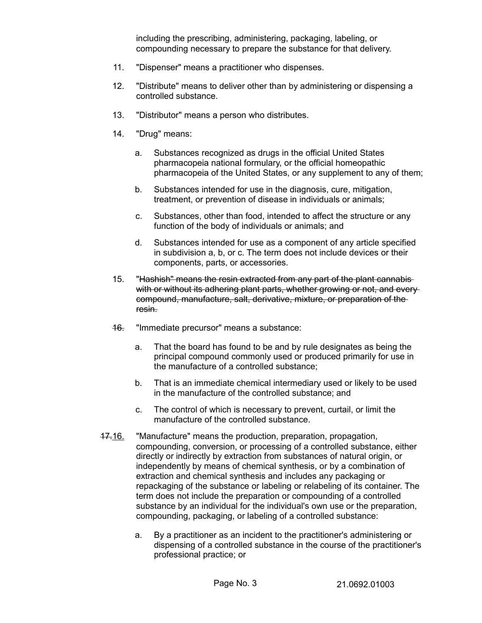including the prescribing, administering, packaging, labeling, or compounding necessary to prepare the substance for that delivery.

- 11. "Dispenser" means a practitioner who dispenses.
- 12. "Distribute" means to deliver other than by administering or dispensing a controlled substance.
- 13. "Distributor" means a person who distributes.
- 14. "Drug" means:
	- a. Substances recognized as drugs in the official United States pharmacopeia national formulary, or the official homeopathic pharmacopeia of the United States, or any supplement to any of them;
	- b. Substances intended for use in the diagnosis, cure, mitigation, treatment, or prevention of disease in individuals or animals;
	- c. Substances, other than food, intended to affect the structure or any function of the body of individuals or animals; and
	- d. Substances intended for use as a component of any article specified in subdivision a, b, or c. The term does not include devices or their components, parts, or accessories.
- 15. "Hashish" means the resin extracted from any part of the plant cannabiswith or without its adhering plant parts, whether growing or not, and everycompound, manufacture, salt, derivative, mixture, or preparation of the resin.
- **16.** "Immediate precursor" means a substance:
	- a. That the board has found to be and by rule designates as being the principal compound commonly used or produced primarily for use in the manufacture of a controlled substance;
	- b. That is an immediate chemical intermediary used or likely to be used in the manufacture of the controlled substance; and
	- c. The control of which is necessary to prevent, curtail, or limit the manufacture of the controlled substance.
- 47.16. "Manufacture" means the production, preparation, propagation, compounding, conversion, or processing of a controlled substance, either directly or indirectly by extraction from substances of natural origin, or independently by means of chemical synthesis, or by a combination of extraction and chemical synthesis and includes any packaging or repackaging of the substance or labeling or relabeling of its container. The term does not include the preparation or compounding of a controlled substance by an individual for the individual's own use or the preparation, compounding, packaging, or labeling of a controlled substance:
	- a. By a practitioner as an incident to the practitioner's administering or dispensing of a controlled substance in the course of the practitioner's professional practice; or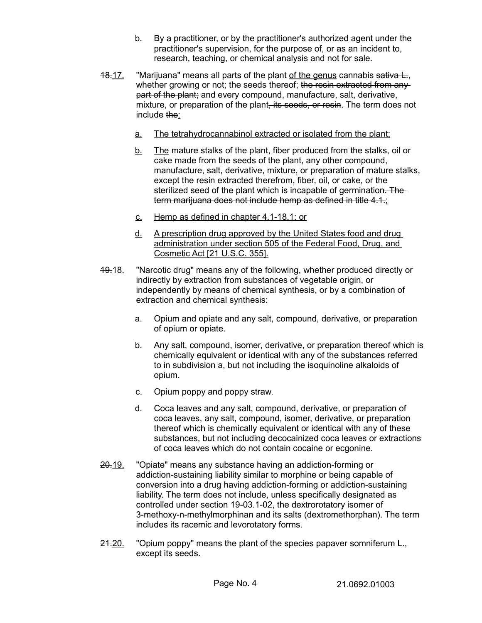- b. By a practitioner, or by the practitioner's authorized agent under the practitioner's supervision, for the purpose of, or as an incident to, research, teaching, or chemical analysis and not for sale.
- 18.17. "Marijuana" means all parts of the plant of the genus cannabis sativa L. whether growing or not; the seeds thereof; the resin extracted from anypart of the plant; and every compound, manufacture, salt, derivative, mixture, or preparation of the plant, its seeds, or resin. The term does not include the:
	- a. The tetrahydrocannabinol extracted or isolated from the plant;
	- b. The mature stalks of the plant, fiber produced from the stalks, oil or cake made from the seeds of the plant, any other compound, manufacture, salt, derivative, mixture, or preparation of mature stalks, except the resin extracted therefrom, fiber, oil, or cake, or the sterilized seed of the plant which is incapable of germination. The term marijuana does not include hemp as defined in title 4.1.;
	- c. Hemp as defined in chapter 4.1 18.1; or
	- d. A prescription drug approved by the United States food and drug administration under section 505 of the Federal Food, Drug, and Cosmetic Act [21 U.S.C. 355].
- 19.18. "Narcotic drug" means any of the following, whether produced directly or indirectly by extraction from substances of vegetable origin, or independently by means of chemical synthesis, or by a combination of extraction and chemical synthesis:
	- a. Opium and opiate and any salt, compound, derivative, or preparation of opium or opiate.
	- b. Any salt, compound, isomer, derivative, or preparation thereof which is chemically equivalent or identical with any of the substances referred to in subdivision a, but not including the isoquinoline alkaloids of opium.
	- c. Opium poppy and poppy straw.
	- d. Coca leaves and any salt, compound, derivative, or preparation of coca leaves, any salt, compound, isomer, derivative, or preparation thereof which is chemically equivalent or identical with any of these substances, but not including decocainized coca leaves or extractions of coca leaves which do not contain cocaine or ecgonine.
- 20.19. "Opiate" means any substance having an addiction-forming or addiction-sustaining liability similar to morphine or being capable of conversion into a drug having addiction-forming or addiction-sustaining liability. The term does not include, unless specifically designated as controlled under section 19-03.1-02, the dextrorotatory isomer of 3-methoxy-n-methylmorphinan and its salts (dextromethorphan). The term includes its racemic and levorotatory forms.
- 24.20. "Opium poppy" means the plant of the species papaver somniferum L. except its seeds.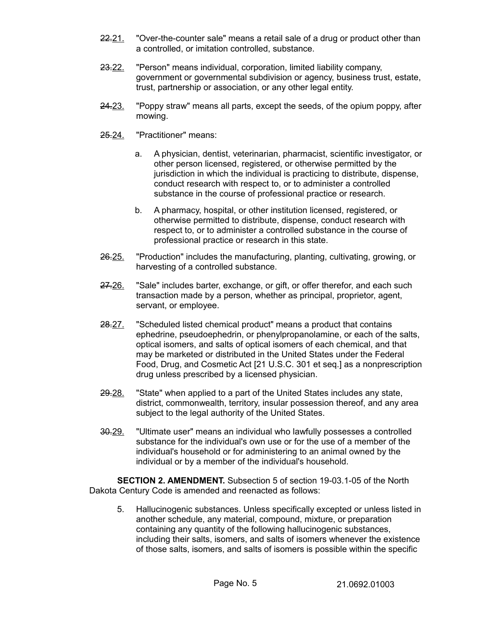- 22.21. "Over-the-counter sale" means a retail sale of a drug or product other than a controlled, or imitation controlled, substance.
- 23.22. "Person" means individual, corporation, limited liability company, government or governmental subdivision or agency, business trust, estate, trust, partnership or association, or any other legal entity.
- 24.23. "Poppy straw" means all parts, except the seeds, of the opium poppy, after mowing.
- 25.24. "Practitioner" means:
	- a. A physician, dentist, veterinarian, pharmacist, scientific investigator, or other person licensed, registered, or otherwise permitted by the jurisdiction in which the individual is practicing to distribute, dispense, conduct research with respect to, or to administer a controlled substance in the course of professional practice or research.
	- b. A pharmacy, hospital, or other institution licensed, registered, or otherwise permitted to distribute, dispense, conduct research with respect to, or to administer a controlled substance in the course of professional practice or research in this state.
- 26.25. "Production" includes the manufacturing, planting, cultivating, growing, or harvesting of a controlled substance.
- 27.26. "Sale" includes barter, exchange, or gift, or offer therefor, and each such transaction made by a person, whether as principal, proprietor, agent, servant, or employee.
- 28.27. "Scheduled listed chemical product" means a product that contains ephedrine, pseudoephedrin, or phenylpropanolamine, or each of the salts, optical isomers, and salts of optical isomers of each chemical, and that may be marketed or distributed in the United States under the Federal Food, Drug, and Cosmetic Act [21 U.S.C. 301 et seq.] as a nonprescription drug unless prescribed by a licensed physician.
- 29.28. "State" when applied to a part of the United States includes any state, district, commonwealth, territory, insular possession thereof, and any area subject to the legal authority of the United States.
- 30.29. "Ultimate user" means an individual who lawfully possesses a controlled substance for the individual's own use or for the use of a member of the individual's household or for administering to an animal owned by the individual or by a member of the individual's household.

**SECTION 2. AMENDMENT.** Subsection 5 of section 19-03.1-05 of the North Dakota Century Code is amended and reenacted as follows:

5. Hallucinogenic substances. Unless specifically excepted or unless listed in another schedule, any material, compound, mixture, or preparation containing any quantity of the following hallucinogenic substances, including their salts, isomers, and salts of isomers whenever the existence of those salts, isomers, and salts of isomers is possible within the specific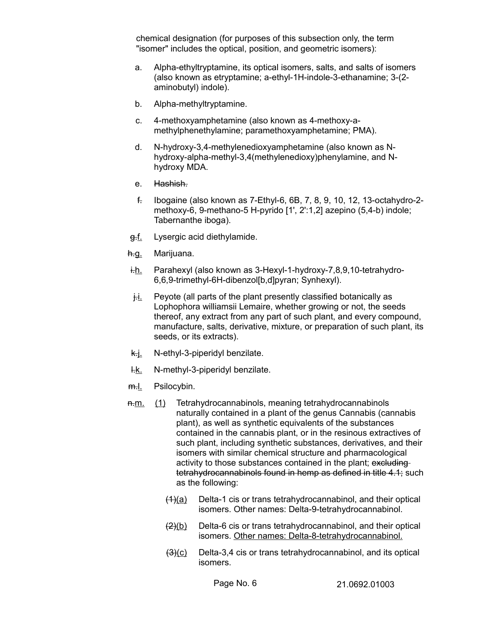chemical designation (for purposes of this subsection only, the term "isomer" includes the optical, position, and geometric isomers):

- a. Alpha-ethyltryptamine, its optical isomers, salts, and salts of isomers (also known as etryptamine; a-ethyl-1H-indole-3-ethanamine; 3-(2 aminobutyl) indole).
- b. Alpha-methyltryptamine.
- c. 4-methoxyamphetamine (also known as 4-methoxy-amethylphenethylamine; paramethoxyamphetamine; PMA).
- d. N-hydroxy-3,4-methylenedioxyamphetamine (also known as Nhydroxy-alpha-methyl-3,4(methylenedioxy)phenylamine, and Nhydroxy MDA.
- e. Hashish.
- f. Ibogaine (also known as 7-Ethyl-6, 6B, 7, 8, 9, 10, 12, 13-octahydro-2 methoxy-6, 9-methano-5 H-pyrido [1', 2':1,2] azepino (5,4-b) indole; Tabernanthe iboga).
- g.f. Lysergic acid diethylamide.
- h.g. Marijuana.
- $i-h$ . Parahexyl (also known as 3-Hexyl-1-hydroxy-7,8,9,10-tetrahydro-6,6,9-trimethyl-6H-dibenzol[b,d]pyran; Synhexyl).
- $\frac{1}{1}$ . Peyote (all parts of the plant presently classified botanically as Lophophora williamsii Lemaire, whether growing or not, the seeds thereof, any extract from any part of such plant, and every compound, manufacture, salts, derivative, mixture, or preparation of such plant, its seeds, or its extracts).
- $k\underline{j}$ . N-ethyl-3-piperidyl benzilate.
- $H.E.$  N-methyl-3-piperidyl benzilate.
- m.l. Psilocybin.
- n.m. (1) Tetrahydrocannabinols, meaning tetrahydrocannabinols naturally contained in a plant of the genus Cannabis (cannabis plant), as well as synthetic equivalents of the substances contained in the cannabis plant, or in the resinous extractives of such plant, including synthetic substances, derivatives, and their isomers with similar chemical structure and pharmacological activity to those substances contained in the plant; excludingtetrahydrocannabinols found in hemp as defined in title 4.1; such as the following:
	- $(1)(a)$  Delta-1 cis or trans tetrahydrocannabinol, and their optical isomers. Other names: Delta-9-tetrahydrocannabinol.
	- $\frac{2}{2}$ (b) Delta-6 cis or trans tetrahydrocannabinol, and their optical isomers. Other names: Delta-8-tetrahydrocannabinol.
	- $\frac{3(2)}{2}$  Delta-3,4 cis or trans tetrahydrocannabinol, and its optical isomers.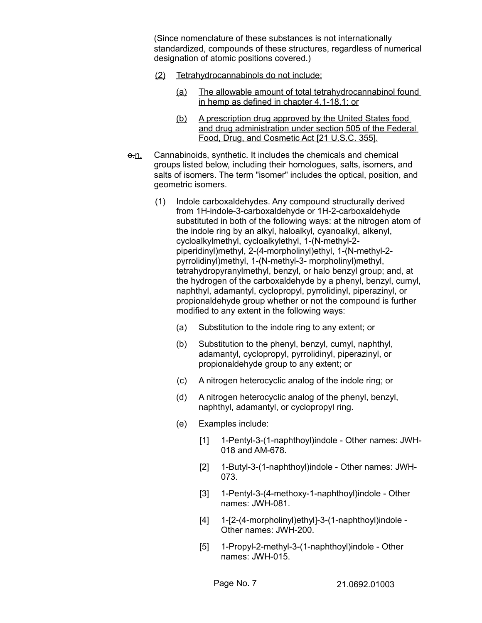(Since nomenclature of these substances is not internationally standardized, compounds of these structures, regardless of numerical designation of atomic positions covered.)

- (2) Tetrahydrocannabinols do not include:
	- (a) The allowable amount of total tetrahydrocannabinol found in hemp as defined in chapter 4.1-18.1; or
	- (b) A prescription drug approved by the United States food and drug administration under section 505 of the Federal Food, Drug, and Cosmetic Act [21 U.S.C. 355].
- $\theta$ -n. Cannabinoids, synthetic. It includes the chemicals and chemical groups listed below, including their homologues, salts, isomers, and salts of isomers. The term "isomer" includes the optical, position, and geometric isomers.
	- (1) Indole carboxaldehydes. Any compound structurally derived from 1H-indole-3-carboxaldehyde or 1H-2-carboxaldehyde substituted in both of the following ways: at the nitrogen atom of the indole ring by an alkyl, haloalkyl, cyanoalkyl, alkenyl, cycloalkylmethyl, cycloalkylethyl, 1-(N-methyl-2 piperidinyl)methyl, 2-(4-morpholinyl)ethyl, 1-(N-methyl-2 pyrrolidinyl)methyl, 1-(N-methyl-3- morpholinyl)methyl, tetrahydropyranylmethyl, benzyl, or halo benzyl group; and, at the hydrogen of the carboxaldehyde by a phenyl, benzyl, cumyl, naphthyl, adamantyl, cyclopropyl, pyrrolidinyl, piperazinyl, or propionaldehyde group whether or not the compound is further modified to any extent in the following ways:
		- (a) Substitution to the indole ring to any extent; or
		- (b) Substitution to the phenyl, benzyl, cumyl, naphthyl, adamantyl, cyclopropyl, pyrrolidinyl, piperazinyl, or propionaldehyde group to any extent; or
		- (c) A nitrogen heterocyclic analog of the indole ring; or
		- (d) A nitrogen heterocyclic analog of the phenyl, benzyl, naphthyl, adamantyl, or cyclopropyl ring.
		- (e) Examples include:
			- [1] 1-Pentyl-3-(1-naphthoyl)indole Other names: JWH-018 and AM-678.
			- [2] 1-Butyl-3-(1-naphthoyl)indole Other names: JWH-073.
			- [3] 1-Pentyl-3-(4-methoxy-1-naphthoyl)indole Other names: JWH-081.
			- [4] 1-[2-(4-morpholinyl)ethyl]-3-(1-naphthoyl)indole -Other names: JWH-200.
			- [5] 1-Propyl-2-methyl-3-(1-naphthoyl)indole Other names: JWH-015.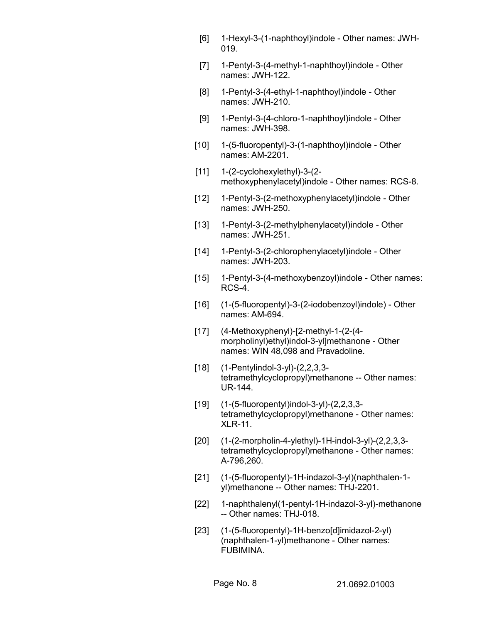- [6] 1-Hexyl-3-(1-naphthoyl)indole Other names: JWH-019.
- [7] 1-Pentyl-3-(4-methyl-1-naphthoyl)indole Other names: JWH-122.
- [8] 1-Pentyl-3-(4-ethyl-1-naphthoyl)indole Other names: JWH-210.
- [9] 1-Pentyl-3-(4-chloro-1-naphthoyl)indole Other names: JWH-398.
- [10] 1-(5-fluoropentyl)-3-(1-naphthoyl)indole Other names: AM-2201.
- $[11]$  1- $(2$ -cyclohexylethyl $)-3$ - $(2$ methoxyphenylacetyl)indole - Other names: RCS-8.
- [12] 1-Pentyl-3-(2-methoxyphenylacetyl)indole Other names: JWH-250.
- [13] 1-Pentyl-3-(2-methylphenylacetyl)indole Other names: JWH-251.
- [14] 1-Pentyl-3-(2-chlorophenylacetyl)indole Other names: JWH-203.
- [15] 1-Pentyl-3-(4-methoxybenzoyl) indole Other names: RCS-4.
- [16] (1-(5-fluoropentyl)-3-(2-iodobenzoyl)indole) Other names: AM-694.
- [17] (4-Methoxyphenyl)-[2-methyl-1-(2-(4 morpholinyl)ethyl)indol-3-yl]methanone - Other names: WIN 48,098 and Pravadoline.
- [18] (1-Pentylindol-3-yl)-(2,2,3,3 tetramethylcyclopropyl)methanone -- Other names: UR-144.
- [19] (1-(5-fluoropentyl)indol-3-yl)-(2,2,3,3 tetramethylcyclopropyl)methanone - Other names: XLR-11.
- [20] (1-(2-morpholin-4-ylethyl)-1H-indol-3-yl)-(2,2,3,3 tetramethylcyclopropyl)methanone - Other names: A-796,260.
- [21] (1-(5-fluoropentyl)-1H-indazol-3-yl)(naphthalen-1 yl)methanone -- Other names: THJ-2201.
- [22] 1-naphthalenyl(1-pentyl-1H-indazol-3-yl)-methanone -- Other names: THJ-018.
- [23] (1-(5-fluoropentyl)-1H-benzo[d]imidazol-2-yl) (naphthalen-1-yl)methanone - Other names: FUBIMINA.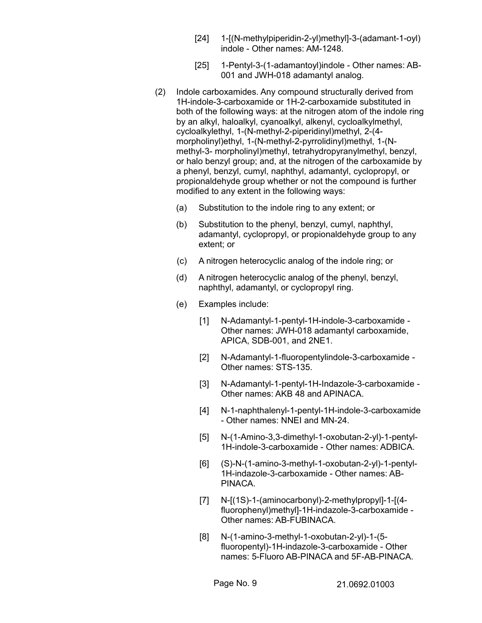- [24] 1-[(N-methylpiperidin-2-yl)methyl]-3-(adamant-1-oyl) indole - Other names: AM-1248.
- [25] 1-Pentyl-3-(1-adamantoyl)indole Other names: AB-001 and JWH-018 adamantyl analog.
- (2) Indole carboxamides. Any compound structurally derived from 1H-indole-3-carboxamide or 1H-2-carboxamide substituted in both of the following ways: at the nitrogen atom of the indole ring by an alkyl, haloalkyl, cyanoalkyl, alkenyl, cycloalkylmethyl, cycloalkylethyl, 1-(N-methyl-2-piperidinyl)methyl, 2-(4 morpholinyl)ethyl, 1-(N-methyl-2-pyrrolidinyl)methyl, 1-(Nmethyl-3- morpholinyl)methyl, tetrahydropyranylmethyl, benzyl, or halo benzyl group; and, at the nitrogen of the carboxamide by a phenyl, benzyl, cumyl, naphthyl, adamantyl, cyclopropyl, or propionaldehyde group whether or not the compound is further modified to any extent in the following ways:
	- (a) Substitution to the indole ring to any extent; or
	- (b) Substitution to the phenyl, benzyl, cumyl, naphthyl, adamantyl, cyclopropyl, or propionaldehyde group to any extent; or
	- (c) A nitrogen heterocyclic analog of the indole ring; or
	- (d) A nitrogen heterocyclic analog of the phenyl, benzyl, naphthyl, adamantyl, or cyclopropyl ring.
	- (e) Examples include:
		- [1] N-Adamantyl-1-pentyl-1H-indole-3-carboxamide Other names: JWH-018 adamantyl carboxamide, APICA, SDB-001, and 2NE1.
		- [2] N-Adamantyl-1-fluoropentylindole-3-carboxamide Other names: STS-135.
		- [3] N-Adamantyl-1-pentyl-1H-Indazole-3-carboxamide Other names: AKB 48 and APINACA.
		- [4] N-1-naphthalenyl-1-pentyl-1H-indole-3-carboxamide - Other names: NNEI and MN-24.
		- [5] N-(1-Amino-3,3-dimethyl-1-oxobutan-2-yl)-1-pentyl-1H-indole-3-carboxamide - Other names: ADBICA.
		- [6] (S)-N-(1-amino-3-methyl-1-oxobutan-2-yl)-1-pentyl-1H-indazole-3-carboxamide - Other names: AB-PINACA.
		- [7] N-[(1S)-1-(aminocarbonyl)-2-methylpropyl]-1-[(4 fluorophenyl)methyl]-1H-indazole-3-carboxamide - Other names: AB-FUBINACA.
		- [8] N-(1-amino-3-methyl-1-oxobutan-2-yl)-1-(5 fluoropentyl)-1H-indazole-3-carboxamide - Other names: 5-Fluoro AB-PINACA and 5F-AB-PINACA.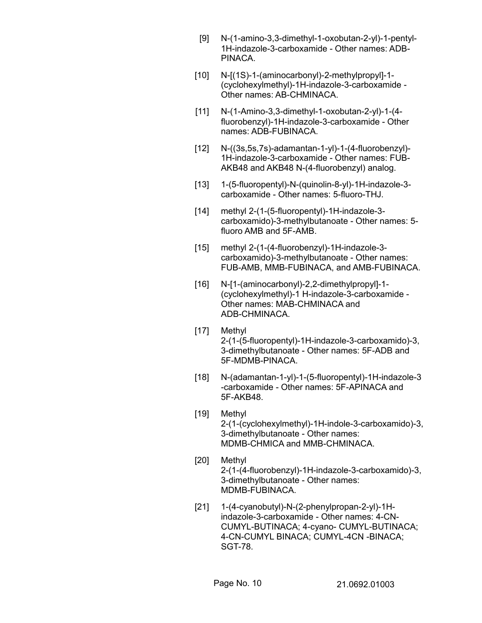- [9] N-(1-amino-3,3-dimethyl-1-oxobutan-2-yl)-1-pentyl-1H-indazole-3-carboxamide - Other names: ADB-PINACA.
- [10] N-[(1S)-1-(aminocarbonyl)-2-methylpropyl]-1-(cyclohexylmethyl)-1H-indazole-3-carboxamide - Other names: AB-CHMINACA.
- [11] N-(1-Amino-3,3-dimethyl-1-oxobutan-2-yl)-1-(4 fluorobenzyl)-1H-indazole-3-carboxamide - Other names: ADB-FUBINACA.
- [12] N-((3s,5s,7s)-adamantan-1-yl)-1-(4-fluorobenzyl)- 1H-indazole-3-carboxamide - Other names: FUB-AKB48 and AKB48 N-(4-fluorobenzyl) analog.
- [13] 1-(5-fluoropentyl)-N-(quinolin-8-yl)-1H-indazole-3 carboxamide - Other names: 5-fluoro-THJ.
- [14] methyl 2-(1-(5-fluoropentyl)-1H-indazole-3 carboxamido)-3-methylbutanoate - Other names: 5 fluoro AMB and 5F-AMB.
- [15] methyl 2-(1-(4-fluorobenzyl)-1H-indazole-3 carboxamido)-3-methylbutanoate - Other names: FUB-AMB, MMB-FUBINACA, and AMB-FUBINACA.
- [16] N-[1-(aminocarbonyl)-2,2-dimethylpropyl]-1- (cyclohexylmethyl)-1 H-indazole-3-carboxamide - Other names: MAB-CHMINACA and ADB-CHMINACA.
- [17] Methyl 2-(1-(5-fluoropentyl)-1H-indazole-3-carboxamido)-3, 3-dimethylbutanoate - Other names: 5F-ADB and 5F-MDMB-PINACA.
- [18] N-(adamantan-1-yl)-1-(5-fluoropentyl)-1H-indazole-3 -carboxamide - Other names: 5F-APINACA and 5F-AKB48.
- [19] Methyl 2-(1-(cyclohexylmethyl)-1H-indole-3-carboxamido)-3, 3-dimethylbutanoate - Other names: MDMB-CHMICA and MMB-CHMINACA.
- [20] Methyl 2-(1-(4-fluorobenzyl)-1H-indazole-3-carboxamido)-3, 3-dimethylbutanoate - Other names: MDMB-FUBINACA.
- [21] 1-(4-cyanobutyl)-N-(2-phenylpropan-2-yl)-1Hindazole-3-carboxamide - Other names: 4-CN-CUMYL-BUTINACA; 4-cyano- CUMYL-BUTINACA; 4-CN-CUMYL BINACA; CUMYL-4CN -BINACA; SGT-78.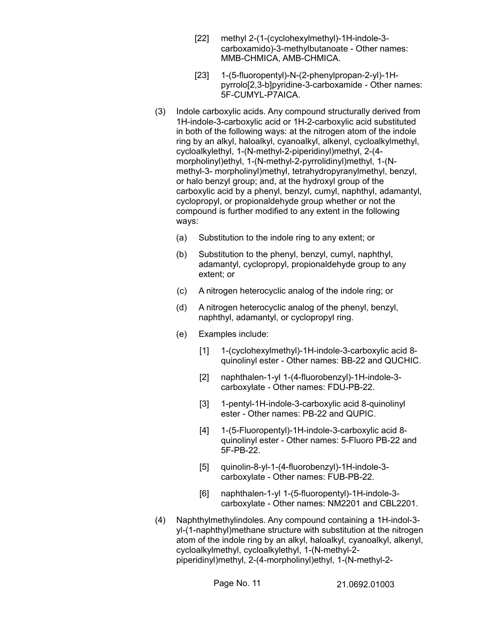- [22] methyl 2-(1-(cyclohexylmethyl)-1H-indole-3 carboxamido)-3-methylbutanoate - Other names: MMB-CHMICA, AMB-CHMICA.
- [23] 1-(5-fluoropentyl)-N-(2-phenylpropan-2-yl)-1Hpyrrolo[2,3-b]pyridine-3-carboxamide - Other names: 5F-CUMYL-P7AICA.
- (3) Indole carboxylic acids. Any compound structurally derived from 1H-indole-3-carboxylic acid or 1H-2-carboxylic acid substituted in both of the following ways: at the nitrogen atom of the indole ring by an alkyl, haloalkyl, cyanoalkyl, alkenyl, cycloalkylmethyl, cycloalkylethyl, 1-(N-methyl-2-piperidinyl)methyl, 2-(4 morpholinyl)ethyl, 1-(N-methyl-2-pyrrolidinyl)methyl, 1-(Nmethyl-3- morpholinyl)methyl, tetrahydropyranylmethyl, benzyl, or halo benzyl group; and, at the hydroxyl group of the carboxylic acid by a phenyl, benzyl, cumyl, naphthyl, adamantyl, cyclopropyl, or propionaldehyde group whether or not the compound is further modified to any extent in the following ways:
	- (a) Substitution to the indole ring to any extent; or
	- (b) Substitution to the phenyl, benzyl, cumyl, naphthyl, adamantyl, cyclopropyl, propionaldehyde group to any extent; or
	- (c) A nitrogen heterocyclic analog of the indole ring; or
	- (d) A nitrogen heterocyclic analog of the phenyl, benzyl, naphthyl, adamantyl, or cyclopropyl ring.
	- (e) Examples include:
		- [1] 1-(cyclohexylmethyl)-1H-indole-3-carboxylic acid 8 quinolinyl ester - Other names: BB-22 and QUCHIC.
		- [2] naphthalen-1-yl 1-(4-fluorobenzyl)-1H-indole-3 carboxylate - Other names: FDU-PB-22.
		- [3] 1-pentyl-1H-indole-3-carboxylic acid 8-quinolinyl ester - Other names: PB-22 and QUPIC.
		- [4] 1-(5-Fluoropentyl)-1H-indole-3-carboxylic acid 8 quinolinyl ester - Other names: 5-Fluoro PB-22 and 5F-PB-22.
		- [5] quinolin-8-yl-1-(4-fluorobenzyl)-1H-indole-3 carboxylate - Other names: FUB-PB-22.
		- [6] naphthalen-1-yl 1-(5-fluoropentyl)-1H-indole-3 carboxylate - Other names: NM2201 and CBL2201.
- (4) Naphthylmethylindoles. Any compound containing a 1H-indol-3 yl-(1-naphthyl)methane structure with substitution at the nitrogen atom of the indole ring by an alkyl, haloalkyl, cyanoalkyl, alkenyl, cycloalkylmethyl, cycloalkylethyl, 1-(N-methyl-2 piperidinyl)methyl, 2-(4-morpholinyl)ethyl, 1-(N-methyl-2-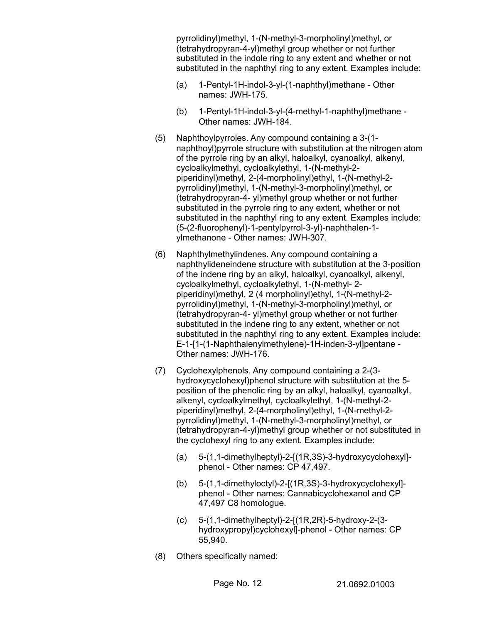pyrrolidinyl)methyl, 1-(N-methyl-3-morpholinyl)methyl, or (tetrahydropyran-4-yl)methyl group whether or not further substituted in the indole ring to any extent and whether or not substituted in the naphthyl ring to any extent. Examples include:

- (a) 1-Pentyl-1H-indol-3-yl-(1-naphthyl)methane Other names: JWH-175.
- (b) 1-Pentyl-1H-indol-3-yl-(4-methyl-1-naphthyl)methane Other names: JWH-184.
- (5) Naphthoylpyrroles. Any compound containing a 3-(1 naphthoyl)pyrrole structure with substitution at the nitrogen atom of the pyrrole ring by an alkyl, haloalkyl, cyanoalkyl, alkenyl, cycloalkylmethyl, cycloalkylethyl, 1-(N-methyl-2 piperidinyl)methyl, 2-(4-morpholinyl)ethyl, 1-(N-methyl-2 pyrrolidinyl)methyl, 1-(N-methyl-3-morpholinyl)methyl, or (tetrahydropyran-4- yl)methyl group whether or not further substituted in the pyrrole ring to any extent, whether or not substituted in the naphthyl ring to any extent. Examples include: (5-(2-fluorophenyl)-1-pentylpyrrol-3-yl)-naphthalen-1 ylmethanone - Other names: JWH-307.
- (6) Naphthylmethylindenes. Any compound containing a naphthylideneindene structure with substitution at the 3-position of the indene ring by an alkyl, haloalkyl, cyanoalkyl, alkenyl, cycloalkylmethyl, cycloalkylethyl, 1-(N-methyl- 2 piperidinyl)methyl, 2 (4 morpholinyl)ethyl, 1-(N-methyl-2 pyrrolidinyl)methyl, 1-(N-methyl-3-morpholinyl)methyl, or (tetrahydropyran-4- yl)methyl group whether or not further substituted in the indene ring to any extent, whether or not substituted in the naphthyl ring to any extent. Examples include: E-1-[1-(1-Naphthalenylmethylene)-1H-inden-3-yl]pentane - Other names: JWH-176.
- (7) Cyclohexylphenols. Any compound containing a 2-(3 hydroxycyclohexyl)phenol structure with substitution at the 5 position of the phenolic ring by an alkyl, haloalkyl, cyanoalkyl, alkenyl, cycloalkylmethyl, cycloalkylethyl, 1-(N-methyl-2 piperidinyl)methyl, 2-(4-morpholinyl)ethyl, 1-(N-methyl-2 pyrrolidinyl)methyl, 1-(N-methyl-3-morpholinyl)methyl, or (tetrahydropyran-4-yl)methyl group whether or not substituted in the cyclohexyl ring to any extent. Examples include:
	- (a) 5-(1,1-dimethylheptyl)-2-[(1R,3S)-3-hydroxycyclohexyl] phenol - Other names: CP 47,497.
	- (b) 5-(1,1-dimethyloctyl)-2-[(1R,3S)-3-hydroxycyclohexyl] phenol - Other names: Cannabicyclohexanol and CP 47,497 C8 homologue.
	- (c) 5-(1,1-dimethylheptyl)-2-[(1R,2R)-5-hydroxy-2-(3 hydroxypropyl)cyclohexyl]-phenol - Other names: CP 55,940.
- (8) Others specifically named: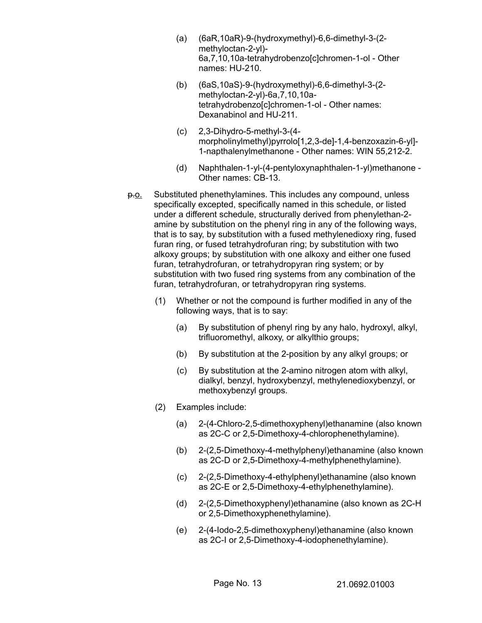- (a) (6aR,10aR)-9-(hydroxymethyl)-6,6-dimethyl-3-(2 methyloctan-2-yl)- 6a,7,10,10a-tetrahydrobenzo[c]chromen-1-ol - Other names: HU-210.
- (b) (6aS,10aS)-9-(hydroxymethyl)-6,6-dimethyl-3-(2 methyloctan-2-yl)-6a,7,10,10atetrahydrobenzo[c]chromen-1-ol - Other names: Dexanabinol and HU-211.
- (c) 2,3-Dihydro-5-methyl-3-(4 morpholinylmethyl)pyrrolo[1,2,3-de]-1,4-benzoxazin-6-yl]- 1-napthalenylmethanone - Other names: WIN 55,212-2.
- (d) Naphthalen-1-yl-(4-pentyloxynaphthalen-1-yl)methanone Other names: CB-13.
- p.o. Substituted phenethylamines. This includes any compound, unless specifically excepted, specifically named in this schedule, or listed under a different schedule, structurally derived from phenylethan-2 amine by substitution on the phenyl ring in any of the following ways, that is to say, by substitution with a fused methylenedioxy ring, fused furan ring, or fused tetrahydrofuran ring; by substitution with two alkoxy groups; by substitution with one alkoxy and either one fused furan, tetrahydrofuran, or tetrahydropyran ring system; or by substitution with two fused ring systems from any combination of the furan, tetrahydrofuran, or tetrahydropyran ring systems.
	- (1) Whether or not the compound is further modified in any of the following ways, that is to say:
		- (a) By substitution of phenyl ring by any halo, hydroxyl, alkyl, trifluoromethyl, alkoxy, or alkylthio groups;
		- (b) By substitution at the 2-position by any alkyl groups; or
		- (c) By substitution at the 2-amino nitrogen atom with alkyl, dialkyl, benzyl, hydroxybenzyl, methylenedioxybenzyl, or methoxybenzyl groups.
	- (2) Examples include:
		- (a) 2-(4-Chloro-2,5-dimethoxyphenyl)ethanamine (also known as 2C-C or 2,5-Dimethoxy-4-chlorophenethylamine).
		- (b) 2-(2,5-Dimethoxy-4-methylphenyl)ethanamine (also known as 2C-D or 2,5-Dimethoxy-4-methylphenethylamine).
		- (c) 2-(2,5-Dimethoxy-4-ethylphenyl)ethanamine (also known as 2C-E or 2,5-Dimethoxy-4-ethylphenethylamine).
		- (d) 2-(2,5-Dimethoxyphenyl)ethanamine (also known as 2C-H or 2,5-Dimethoxyphenethylamine).
		- (e) 2-(4-Iodo-2,5-dimethoxyphenyl)ethanamine (also known as 2C-I or 2,5-Dimethoxy-4-iodophenethylamine).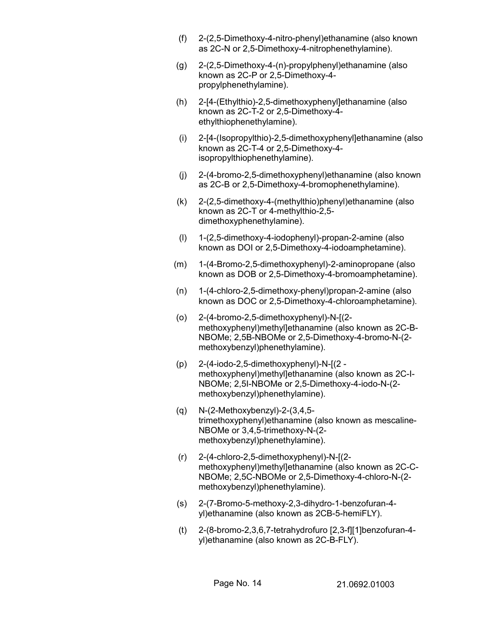- (f) 2-(2,5-Dimethoxy-4-nitro-phenyl)ethanamine (also known as 2C-N or 2,5-Dimethoxy-4-nitrophenethylamine).
- (g) 2-(2,5-Dimethoxy-4-(n)-propylphenyl)ethanamine (also known as 2C-P or 2,5-Dimethoxy-4 propylphenethylamine).
- (h) 2-[4-(Ethylthio)-2,5-dimethoxyphenyl]ethanamine (also known as 2C-T-2 or 2,5-Dimethoxy-4 ethylthiophenethylamine).
- (i) 2-[4-(Isopropylthio)-2,5-dimethoxyphenyl]ethanamine (also known as 2C-T-4 or 2,5-Dimethoxy-4 isopropylthiophenethylamine).
- (j) 2-(4-bromo-2,5-dimethoxyphenyl)ethanamine (also known as 2C-B or 2,5-Dimethoxy-4-bromophenethylamine).
- (k) 2-(2,5-dimethoxy-4-(methylthio)phenyl)ethanamine (also known as 2C-T or 4-methylthio-2,5 dimethoxyphenethylamine).
- (l) 1-(2,5-dimethoxy-4-iodophenyl)-propan-2-amine (also known as DOI or 2,5-Dimethoxy-4-iodoamphetamine).
- (m) 1-(4-Bromo-2,5-dimethoxyphenyl)-2-aminopropane (also known as DOB or 2,5-Dimethoxy-4-bromoamphetamine).
- (n) 1-(4-chloro-2,5-dimethoxy-phenyl)propan-2-amine (also known as DOC or 2,5-Dimethoxy-4-chloroamphetamine).
- (o) 2-(4-bromo-2,5-dimethoxyphenyl)-N-[(2 methoxyphenyl)methyl]ethanamine (also known as 2C-B-NBOMe; 2,5B-NBOMe or 2,5-Dimethoxy-4-bromo-N-(2 methoxybenzyl)phenethylamine).
- (p) 2-(4-iodo-2,5-dimethoxyphenyl)-N-[(2 methoxyphenyl)methyl]ethanamine (also known as 2C-I-NBOMe; 2,5I-NBOMe or 2,5-Dimethoxy-4-iodo-N-(2 methoxybenzyl)phenethylamine).
- (q) N-(2-Methoxybenzyl)-2-(3,4,5 trimethoxyphenyl)ethanamine (also known as mescaline-NBOMe or 3,4,5-trimethoxy-N-(2 methoxybenzyl)phenethylamine).
- (r) 2-(4-chloro-2,5-dimethoxyphenyl)-N-[(2 methoxyphenyl)methyl]ethanamine (also known as 2C-C-NBOMe; 2,5C-NBOMe or 2,5-Dimethoxy-4-chloro-N-(2 methoxybenzyl)phenethylamine).
- (s) 2-(7-Bromo-5-methoxy-2,3-dihydro-1-benzofuran-4 yl)ethanamine (also known as 2CB-5-hemiFLY).
- (t) 2-(8-bromo-2,3,6,7-tetrahydrofuro [2,3-f][1]benzofuran-4 yl)ethanamine (also known as 2C-B-FLY).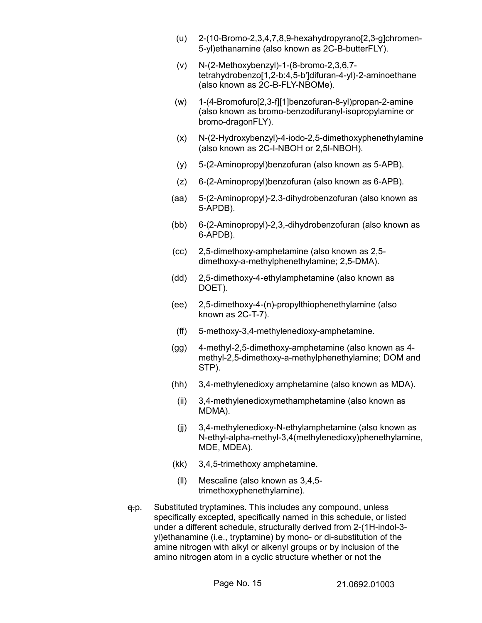- (u) 2-(10-Bromo-2,3,4,7,8,9-hexahydropyrano[2,3-g]chromen-5-yl)ethanamine (also known as 2C-B-butterFLY).
- (v) N-(2-Methoxybenzyl)-1-(8-bromo-2,3,6,7 tetrahydrobenzo[1,2-b:4,5-b']difuran-4-yl)-2-aminoethane (also known as 2C-B-FLY-NBOMe).
- (w) 1-(4-Bromofuro[2,3-f][1]benzofuran-8-yl)propan-2-amine (also known as bromo-benzodifuranyl-isopropylamine or bromo-dragonFLY).
- (x) N-(2-Hydroxybenzyl)-4-iodo-2,5-dimethoxyphenethylamine (also known as 2C-I-NBOH or 2,5I-NBOH).
- (y) 5-(2-Aminopropyl)benzofuran (also known as 5-APB).
- (z) 6-(2-Aminopropyl)benzofuran (also known as 6-APB).
- (aa) 5-(2-Aminopropyl)-2,3-dihydrobenzofuran (also known as 5-APDB).
- (bb) 6-(2-Aminopropyl)-2,3,-dihydrobenzofuran (also known as 6-APDB).
- (cc) 2,5-dimethoxy-amphetamine (also known as 2,5 dimethoxy-a-methylphenethylamine; 2,5-DMA).
- (dd) 2,5-dimethoxy-4-ethylamphetamine (also known as DOET).
- (ee) 2,5-dimethoxy-4-(n)-propylthiophenethylamine (also known as 2C-T-7).
- (ff) 5-methoxy-3,4-methylenedioxy-amphetamine.
- (gg) 4-methyl-2,5-dimethoxy-amphetamine (also known as 4 methyl-2,5-dimethoxy-a-methylphenethylamine; DOM and STP).
- (hh) 3,4-methylenedioxy amphetamine (also known as MDA).
	- (ii) 3,4-methylenedioxymethamphetamine (also known as MDMA).
- (jj) 3,4-methylenedioxy-N-ethylamphetamine (also known as N-ethyl-alpha-methyl-3,4(methylenedioxy)phenethylamine, MDE, MDEA).
- (kk) 3,4,5-trimethoxy amphetamine.
- (ll) Mescaline (also known as 3,4,5 trimethoxyphenethylamine).
- $q.p.$  Substituted tryptamines. This includes any compound, unless specifically excepted, specifically named in this schedule, or listed under a different schedule, structurally derived from 2-(1H-indol-3 yl)ethanamine (i.e., tryptamine) by mono- or di-substitution of the amine nitrogen with alkyl or alkenyl groups or by inclusion of the amino nitrogen atom in a cyclic structure whether or not the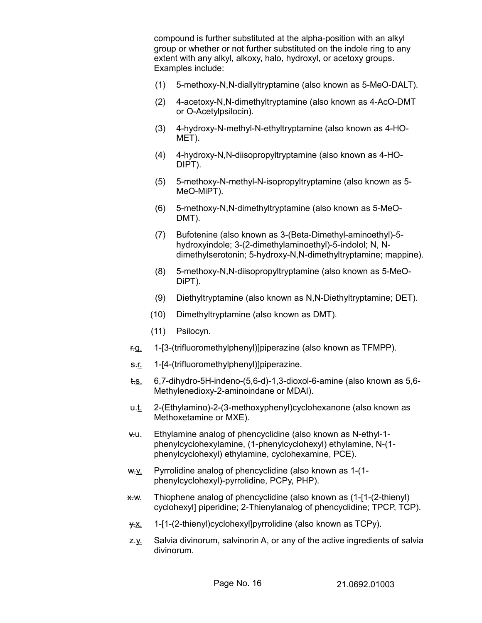compound is further substituted at the alpha-position with an alkyl group or whether or not further substituted on the indole ring to any extent with any alkyl, alkoxy, halo, hydroxyl, or acetoxy groups. Examples include:

- (1) 5-methoxy-N,N-diallyltryptamine (also known as 5-MeO-DALT).
- (2) 4-acetoxy-N,N-dimethyltryptamine (also known as 4-AcO-DMT or O-Acetylpsilocin).
- (3) 4-hydroxy-N-methyl-N-ethyltryptamine (also known as 4-HO-MET).
- (4) 4-hydroxy-N,N-diisopropyltryptamine (also known as 4-HO-DIPT).
- (5) 5-methoxy-N-methyl-N-isopropyltryptamine (also known as 5- MeO-MiPT).
- (6) 5-methoxy-N,N-dimethyltryptamine (also known as 5-MeO-DMT).
- (7) Bufotenine (also known as 3-(Beta-Dimethyl-aminoethyl)-5 hydroxyindole; 3-(2-dimethylaminoethyl)-5-indolol; N, Ndimethylserotonin; 5-hydroxy-N,N-dimethyltryptamine; mappine).
- (8) 5-methoxy-N,N-diisopropyltryptamine (also known as 5-MeO-DiPT).
- (9) Diethyltryptamine (also known as N,N-Diethyltryptamine; DET).
- (10) Dimethyltryptamine (also known as DMT).
- (11) Psilocyn.
- r.q. 1-[3-(trifluoromethylphenyl)]piperazine (also known as TFMPP).
- s.<u>r.</u> 1-[4-(trifluoromethylphenyl)]piperazine.
- t.s. 6,7-dihydro-5H-indeno-(5,6-d)-1,3-dioxol-6-amine (also known as 5,6- Methylenedioxy-2-aminoindane or MDAI).
- u.t. 2-(Ethylamino)-2-(3-methoxyphenyl)cyclohexanone (also known as Methoxetamine or MXE).
- v.u. Ethylamine analog of phencyclidine (also known as N-ethyl-1 phenylcyclohexylamine, (1-phenylcyclohexyl) ethylamine, N-(1 phenylcyclohexyl) ethylamine, cyclohexamine, PCE).
- $w_{\cdot}v_{\cdot}$  Pyrrolidine analog of phencyclidine (also known as 1-(1phenylcyclohexyl)-pyrrolidine, PCPy, PHP).
- $x \rightarrow w$ . Thiophene analog of phencyclidine (also known as  $(1-[1-(2-1))$ ) cyclohexyl] piperidine; 2-Thienylanalog of phencyclidine; TPCP, TCP).
- y.x. 1-[1-(2-thienyl)cyclohexyl]pyrrolidine (also known as TCPy).
- $z_{\cdot}y$ . Salvia divinorum, salvinorin A, or any of the active ingredients of salvia divinorum.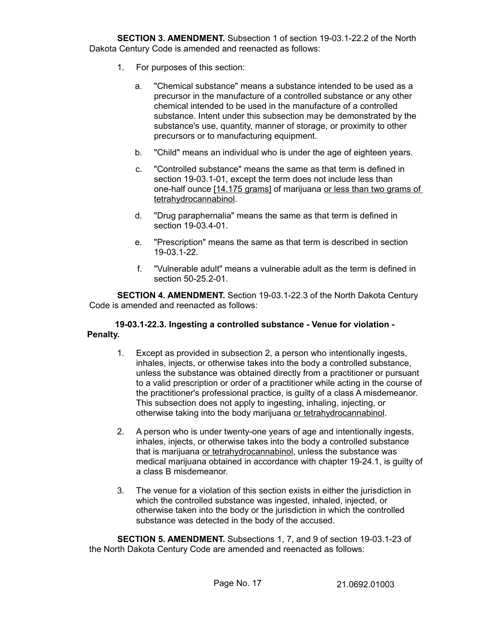**SECTION 3. AMENDMENT.** Subsection 1 of section 19-03.1-22.2 of the North Dakota Century Code is amended and reenacted as follows:

- 1. For purposes of this section:
	- a. "Chemical substance" means a substance intended to be used as a precursor in the manufacture of a controlled substance or any other chemical intended to be used in the manufacture of a controlled substance. Intent under this subsection may be demonstrated by the substance's use, quantity, manner of storage, or proximity to other precursors or to manufacturing equipment.
	- b. "Child" means an individual who is under the age of eighteen years.
	- c. "Controlled substance" means the same as that term is defined in section 19-03.1-01, except the term does not include less than one-half ounce [14.175 grams] of marijuana or less than two grams of tetrahydrocannabinol.
	- d. "Drug paraphernalia" means the same as that term is defined in section 19-03.4-01.
	- e. "Prescription" means the same as that term is described in section 19-03.1-22.
	- f. "Vulnerable adult" means a vulnerable adult as the term is defined in section 50-25.2-01.

**SECTION 4. AMENDMENT.** Section 19-03.1-22.3 of the North Dakota Century Code is amended and reenacted as follows:

## **19-03.1-22.3. Ingesting a controlled substance - Venue for violation - Penalty.**

- 1. Except as provided in subsection 2, a person who intentionally ingests, inhales, injects, or otherwise takes into the body a controlled substance, unless the substance was obtained directly from a practitioner or pursuant to a valid prescription or order of a practitioner while acting in the course of the practitioner's professional practice, is guilty of a class A misdemeanor. This subsection does not apply to ingesting, inhaling, injecting, or otherwise taking into the body marijuana or tetrahydrocannabinol.
- 2. A person who is under twenty-one years of age and intentionally ingests, inhales, injects, or otherwise takes into the body a controlled substance that is marijuana or tetrahydrocannabinol, unless the substance was medical marijuana obtained in accordance with chapter 19-24.1, is guilty of a class B misdemeanor.
- 3. The venue for a violation of this section exists in either the jurisdiction in which the controlled substance was ingested, inhaled, injected, or otherwise taken into the body or the jurisdiction in which the controlled substance was detected in the body of the accused.

**SECTION 5. AMENDMENT.** Subsections 1, 7, and 9 of section 19-03.1-23 of the North Dakota Century Code are amended and reenacted as follows: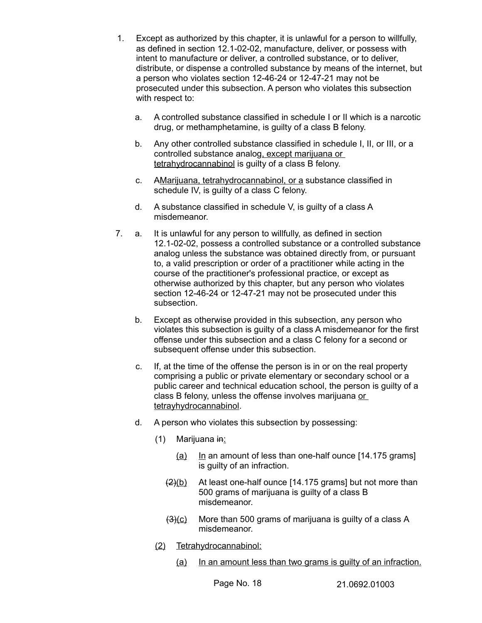- 1. Except as authorized by this chapter, it is unlawful for a person to willfully, as defined in section 12.1-02-02, manufacture, deliver, or possess with intent to manufacture or deliver, a controlled substance, or to deliver, distribute, or dispense a controlled substance by means of the internet, but a person who violates section 12-46-24 or 12-47-21 may not be prosecuted under this subsection. A person who violates this subsection with respect to:
	- a. A controlled substance classified in schedule I or II which is a narcotic drug, or methamphetamine, is guilty of a class B felony.
	- b. Any other controlled substance classified in schedule I, II, or III, or a controlled substance analog, except marijuana or tetrahydrocannabinol is guilty of a class B felony.
	- c. AMarijuana, tetrahydrocannabinol, or a substance classified in schedule IV, is guilty of a class C felony.
	- d. A substance classified in schedule V, is guilty of a class A misdemeanor.
- 7. a. It is unlawful for any person to willfully, as defined in section 12.1-02-02, possess a controlled substance or a controlled substance analog unless the substance was obtained directly from, or pursuant to, a valid prescription or order of a practitioner while acting in the course of the practitioner's professional practice, or except as otherwise authorized by this chapter, but any person who violates section 12-46-24 or 12-47-21 may not be prosecuted under this subsection.
	- b. Except as otherwise provided in this subsection, any person who violates this subsection is guilty of a class A misdemeanor for the first offense under this subsection and a class C felony for a second or subsequent offense under this subsection.
	- c. If, at the time of the offense the person is in or on the real property comprising a public or private elementary or secondary school or a public career and technical education school, the person is guilty of a class B felony, unless the offense involves marijuana or tetrayhydrocannabinol.
	- d. A person who violates this subsection by possessing:
		- $(1)$  Marijuana in:
			- (a) In an amount of less than one-half ounce [14.175 grams] is guilty of an infraction.
			- $\frac{2}{2}$ (b) At least one-half ounce [14.175 grams] but not more than 500 grams of marijuana is guilty of a class B misdemeanor.
			- $(3)(c)$  More than 500 grams of marijuana is guilty of a class A misdemeanor.
		- (2) Tetrahydrocannabinol:
			- (a) In an amount less than two grams is guilty of an infraction.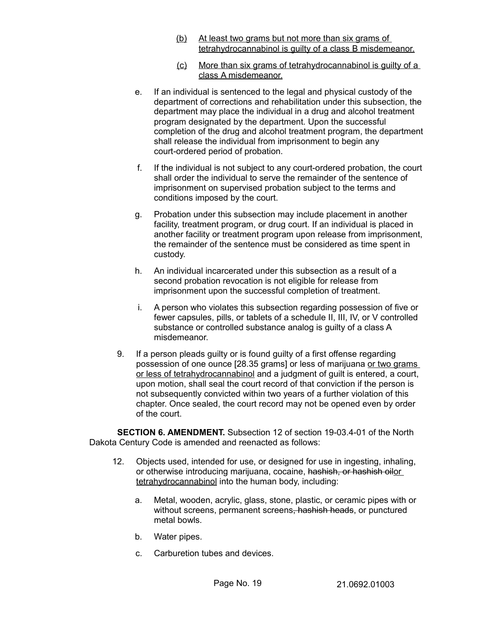- (b) At least two grams but not more than six grams of tetrahydrocannabinol is guilty of a class B misdemeanor.
- (c) More than six grams of tetrahydrocannabinol is guilty of a class A misdemeanor.
- e. If an individual is sentenced to the legal and physical custody of the department of corrections and rehabilitation under this subsection, the department may place the individual in a drug and alcohol treatment program designated by the department. Upon the successful completion of the drug and alcohol treatment program, the department shall release the individual from imprisonment to begin any court-ordered period of probation.
- f. If the individual is not subject to any court-ordered probation, the court shall order the individual to serve the remainder of the sentence of imprisonment on supervised probation subject to the terms and conditions imposed by the court.
- g. Probation under this subsection may include placement in another facility, treatment program, or drug court. If an individual is placed in another facility or treatment program upon release from imprisonment, the remainder of the sentence must be considered as time spent in custody.
- h. An individual incarcerated under this subsection as a result of a second probation revocation is not eligible for release from imprisonment upon the successful completion of treatment.
- i. A person who violates this subsection regarding possession of five or fewer capsules, pills, or tablets of a schedule II, III, IV, or V controlled substance or controlled substance analog is guilty of a class A misdemeanor.
- 9. If a person pleads guilty or is found guilty of a first offense regarding possession of one ounce [28.35 grams] or less of marijuana or two grams or less of tetrahydrocannabinol and a judgment of guilt is entered, a court, upon motion, shall seal the court record of that conviction if the person is not subsequently convicted within two years of a further violation of this chapter. Once sealed, the court record may not be opened even by order of the court.

**SECTION 6. AMENDMENT.** Subsection 12 of section 19-03.4-01 of the North Dakota Century Code is amended and reenacted as follows:

- 12. Objects used, intended for use, or designed for use in ingesting, inhaling, or otherwise introducing marijuana, cocaine, hashish, or hashish oilor tetrahydrocannabinol into the human body, including:
	- a. Metal, wooden, acrylic, glass, stone, plastic, or ceramic pipes with or without screens, permanent screens, hashish heads, or punctured metal bowls.
	- b. Water pipes.
	- c. Carburetion tubes and devices.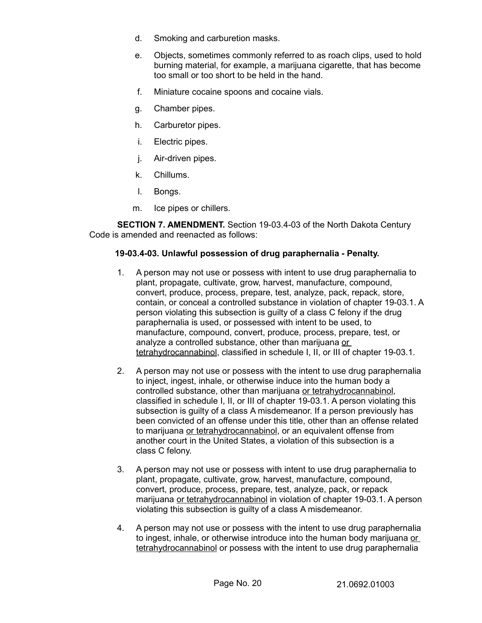- d. Smoking and carburetion masks.
- e. Objects, sometimes commonly referred to as roach clips, used to hold burning material, for example, a marijuana cigarette, that has become too small or too short to be held in the hand.
- f. Miniature cocaine spoons and cocaine vials.
- g. Chamber pipes.
- h. Carburetor pipes.
- i. Electric pipes.
- j. Air-driven pipes.
- k. Chillums.
- l. Bongs.
- m. Ice pipes or chillers.

**SECTION 7. AMENDMENT.** Section 19-03.4-03 of the North Dakota Century Code is amended and reenacted as follows:

#### **19-03.4-03. Unlawful possession of drug paraphernalia - Penalty.**

- 1. A person may not use or possess with intent to use drug paraphernalia to plant, propagate, cultivate, grow, harvest, manufacture, compound, convert, produce, process, prepare, test, analyze, pack, repack, store, contain, or conceal a controlled substance in violation of chapter 19-03.1. A person violating this subsection is guilty of a class C felony if the drug paraphernalia is used, or possessed with intent to be used, to manufacture, compound, convert, produce, process, prepare, test, or analyze a controlled substance, other than marijuana or tetrahydrocannabinol, classified in schedule I, II, or III of chapter 19-03.1.
- 2. A person may not use or possess with the intent to use drug paraphernalia to inject, ingest, inhale, or otherwise induce into the human body a controlled substance, other than marijuana or tetrahydrocannabinol, classified in schedule I, II, or III of chapter 19-03.1. A person violating this subsection is guilty of a class A misdemeanor. If a person previously has been convicted of an offense under this title, other than an offense related to marijuana or tetrahydrocannabinol, or an equivalent offense from another court in the United States, a violation of this subsection is a class C felony.
- 3. A person may not use or possess with intent to use drug paraphernalia to plant, propagate, cultivate, grow, harvest, manufacture, compound, convert, produce, process, prepare, test, analyze, pack, or repack marijuana or tetrahydrocannabinol in violation of chapter 19-03.1. A person violating this subsection is guilty of a class A misdemeanor.
- 4. A person may not use or possess with the intent to use drug paraphernalia to ingest, inhale, or otherwise introduce into the human body marijuana or tetrahydrocannabinol or possess with the intent to use drug paraphernalia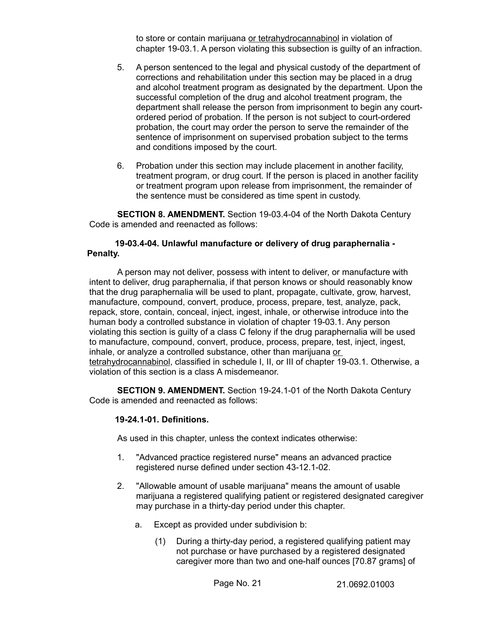to store or contain marijuana or tetrahydrocannabinol in violation of chapter 19-03.1. A person violating this subsection is guilty of an infraction.

- 5. A person sentenced to the legal and physical custody of the department of corrections and rehabilitation under this section may be placed in a drug and alcohol treatment program as designated by the department. Upon the successful completion of the drug and alcohol treatment program, the department shall release the person from imprisonment to begin any courtordered period of probation. If the person is not subject to court-ordered probation, the court may order the person to serve the remainder of the sentence of imprisonment on supervised probation subject to the terms and conditions imposed by the court.
- 6. Probation under this section may include placement in another facility, treatment program, or drug court. If the person is placed in another facility or treatment program upon release from imprisonment, the remainder of the sentence must be considered as time spent in custody.

**SECTION 8. AMENDMENT.** Section 19-03.4-04 of the North Dakota Century Code is amended and reenacted as follows:

## **19-03.4-04. Unlawful manufacture or delivery of drug paraphernalia - Penalty.**

A person may not deliver, possess with intent to deliver, or manufacture with intent to deliver, drug paraphernalia, if that person knows or should reasonably know that the drug paraphernalia will be used to plant, propagate, cultivate, grow, harvest, manufacture, compound, convert, produce, process, prepare, test, analyze, pack, repack, store, contain, conceal, inject, ingest, inhale, or otherwise introduce into the human body a controlled substance in violation of chapter 19-03.1. Any person violating this section is guilty of a class C felony if the drug paraphernalia will be used to manufacture, compound, convert, produce, process, prepare, test, inject, ingest, inhale, or analyze a controlled substance, other than marijuana or tetrahydrocannabinol, classified in schedule I, II, or III of chapter 19-03.1. Otherwise, a violation of this section is a class A misdemeanor.

**SECTION 9. AMENDMENT.** Section 19-24.1-01 of the North Dakota Century Code is amended and reenacted as follows:

#### **19-24.1-01. Definitions.**

As used in this chapter, unless the context indicates otherwise:

- 1. "Advanced practice registered nurse" means an advanced practice registered nurse defined under section 43-12.1-02.
- 2. "Allowable amount of usable marijuana" means the amount of usable marijuana a registered qualifying patient or registered designated caregiver may purchase in a thirty-day period under this chapter.
	- a. Except as provided under subdivision b:
		- (1) During a thirty-day period, a registered qualifying patient may not purchase or have purchased by a registered designated caregiver more than two and one-half ounces [70.87 grams] of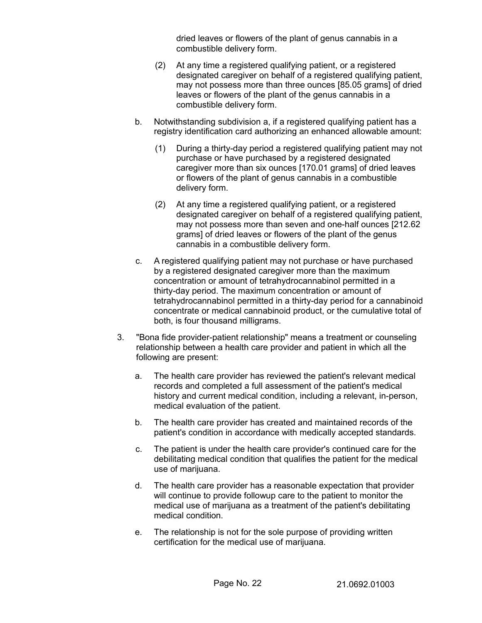dried leaves or flowers of the plant of genus cannabis in a combustible delivery form.

- (2) At any time a registered qualifying patient, or a registered designated caregiver on behalf of a registered qualifying patient, may not possess more than three ounces [85.05 grams] of dried leaves or flowers of the plant of the genus cannabis in a combustible delivery form.
- b. Notwithstanding subdivision a, if a registered qualifying patient has a registry identification card authorizing an enhanced allowable amount:
	- (1) During a thirty-day period a registered qualifying patient may not purchase or have purchased by a registered designated caregiver more than six ounces [170.01 grams] of dried leaves or flowers of the plant of genus cannabis in a combustible delivery form.
	- (2) At any time a registered qualifying patient, or a registered designated caregiver on behalf of a registered qualifying patient, may not possess more than seven and one-half ounces [212.62 grams] of dried leaves or flowers of the plant of the genus cannabis in a combustible delivery form.
- c. A registered qualifying patient may not purchase or have purchased by a registered designated caregiver more than the maximum concentration or amount of tetrahydrocannabinol permitted in a thirty-day period. The maximum concentration or amount of tetrahydrocannabinol permitted in a thirty-day period for a cannabinoid concentrate or medical cannabinoid product, or the cumulative total of both, is four thousand milligrams.
- 3. "Bona fide provider-patient relationship" means a treatment or counseling relationship between a health care provider and patient in which all the following are present:
	- a. The health care provider has reviewed the patient's relevant medical records and completed a full assessment of the patient's medical history and current medical condition, including a relevant, in-person, medical evaluation of the patient.
	- b. The health care provider has created and maintained records of the patient's condition in accordance with medically accepted standards.
	- c. The patient is under the health care provider's continued care for the debilitating medical condition that qualifies the patient for the medical use of marijuana.
	- d. The health care provider has a reasonable expectation that provider will continue to provide followup care to the patient to monitor the medical use of marijuana as a treatment of the patient's debilitating medical condition.
	- e. The relationship is not for the sole purpose of providing written certification for the medical use of marijuana.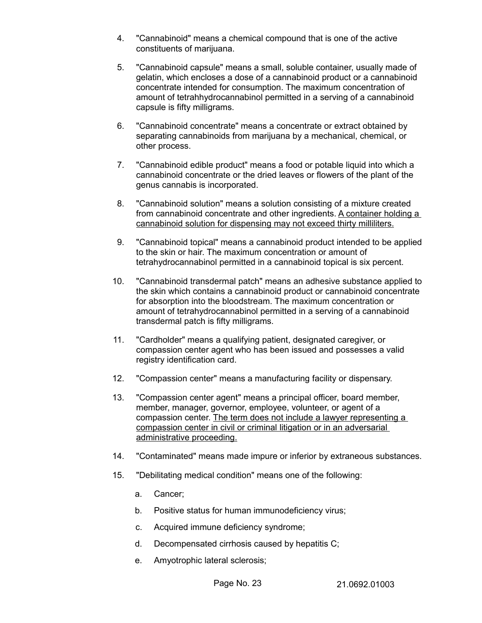- 4. "Cannabinoid" means a chemical compound that is one of the active constituents of marijuana.
- 5. "Cannabinoid capsule" means a small, soluble container, usually made of gelatin, which encloses a dose of a cannabinoid product or a cannabinoid concentrate intended for consumption. The maximum concentration of amount of tetrahhydrocannabinol permitted in a serving of a cannabinoid capsule is fifty milligrams.
- 6. "Cannabinoid concentrate" means a concentrate or extract obtained by separating cannabinoids from marijuana by a mechanical, chemical, or other process.
- 7. "Cannabinoid edible product" means a food or potable liquid into which a cannabinoid concentrate or the dried leaves or flowers of the plant of the genus cannabis is incorporated.
- 8. "Cannabinoid solution" means a solution consisting of a mixture created from cannabinoid concentrate and other ingredients. A container holding a cannabinoid solution for dispensing may not exceed thirty milliliters.
- 9. "Cannabinoid topical" means a cannabinoid product intended to be applied to the skin or hair. The maximum concentration or amount of tetrahydrocannabinol permitted in a cannabinoid topical is six percent.
- 10. "Cannabinoid transdermal patch" means an adhesive substance applied to the skin which contains a cannabinoid product or cannabinoid concentrate for absorption into the bloodstream. The maximum concentration or amount of tetrahydrocannabinol permitted in a serving of a cannabinoid transdermal patch is fifty milligrams.
- 11. "Cardholder" means a qualifying patient, designated caregiver, or compassion center agent who has been issued and possesses a valid registry identification card.
- 12. "Compassion center" means a manufacturing facility or dispensary.
- 13. "Compassion center agent" means a principal officer, board member, member, manager, governor, employee, volunteer, or agent of a compassion center. The term does not include a lawyer representing a compassion center in civil or criminal litigation or in an adversarial administrative proceeding.
- 14. "Contaminated" means made impure or inferior by extraneous substances.
- 15. "Debilitating medical condition" means one of the following:
	- a. Cancer;
	- b. Positive status for human immunodeficiency virus;
	- c. Acquired immune deficiency syndrome;
	- d. Decompensated cirrhosis caused by hepatitis C;
	- e. Amyotrophic lateral sclerosis;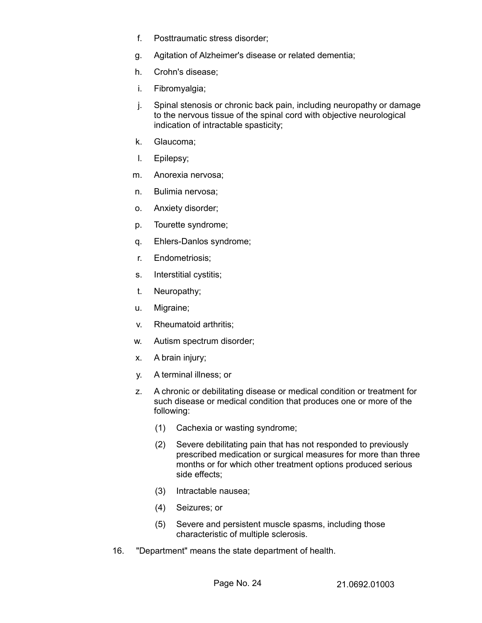- f. Posttraumatic stress disorder;
- g. Agitation of Alzheimer's disease or related dementia;
- h. Crohn's disease;
- i. Fibromyalgia;
- j. Spinal stenosis or chronic back pain, including neuropathy or damage to the nervous tissue of the spinal cord with objective neurological indication of intractable spasticity;
- k. Glaucoma;
- l. Epilepsy;
- m. Anorexia nervosa;
- n. Bulimia nervosa;
- o. Anxiety disorder;
- p. Tourette syndrome;
- q. Ehlers-Danlos syndrome;
- r. Endometriosis;
- s. Interstitial cystitis;
- t. Neuropathy;
- u. Migraine;
- v. Rheumatoid arthritis;
- w. Autism spectrum disorder;
- x. A brain injury;
- y. A terminal illness; or
- z. A chronic or debilitating disease or medical condition or treatment for such disease or medical condition that produces one or more of the following:
	- (1) Cachexia or wasting syndrome;
	- (2) Severe debilitating pain that has not responded to previously prescribed medication or surgical measures for more than three months or for which other treatment options produced serious side effects;
	- (3) Intractable nausea;
	- (4) Seizures; or
	- (5) Severe and persistent muscle spasms, including those characteristic of multiple sclerosis.
- 16. "Department" means the state department of health.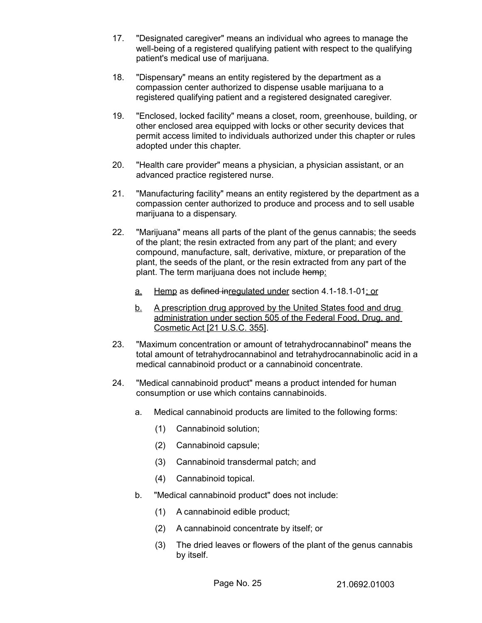- 17. "Designated caregiver" means an individual who agrees to manage the well-being of a registered qualifying patient with respect to the qualifying patient's medical use of marijuana.
- 18. "Dispensary" means an entity registered by the department as a compassion center authorized to dispense usable marijuana to a registered qualifying patient and a registered designated caregiver.
- 19. "Enclosed, locked facility" means a closet, room, greenhouse, building, or other enclosed area equipped with locks or other security devices that permit access limited to individuals authorized under this chapter or rules adopted under this chapter.
- 20. "Health care provider" means a physician, a physician assistant, or an advanced practice registered nurse.
- 21. "Manufacturing facility" means an entity registered by the department as a compassion center authorized to produce and process and to sell usable marijuana to a dispensary.
- 22. "Marijuana" means all parts of the plant of the genus cannabis; the seeds of the plant; the resin extracted from any part of the plant; and every compound, manufacture, salt, derivative, mixture, or preparation of the plant, the seeds of the plant, or the resin extracted from any part of the plant. The term marijuana does not include hemp:
	- a. Hemp as defined inregulated under section 4.1-18.1-01; or
	- b. A prescription drug approved by the United States food and drug administration under section 505 of the Federal Food, Drug, and Cosmetic Act [21 U.S.C. 355].
- 23. "Maximum concentration or amount of tetrahydrocannabinol" means the total amount of tetrahydrocannabinol and tetrahydrocannabinolic acid in a medical cannabinoid product or a cannabinoid concentrate.
- 24. "Medical cannabinoid product" means a product intended for human consumption or use which contains cannabinoids.
	- a. Medical cannabinoid products are limited to the following forms:
		- (1) Cannabinoid solution;
		- (2) Cannabinoid capsule;
		- (3) Cannabinoid transdermal patch; and
		- (4) Cannabinoid topical.
	- b. "Medical cannabinoid product" does not include:
		- (1) A cannabinoid edible product;
		- (2) A cannabinoid concentrate by itself; or
		- (3) The dried leaves or flowers of the plant of the genus cannabis by itself.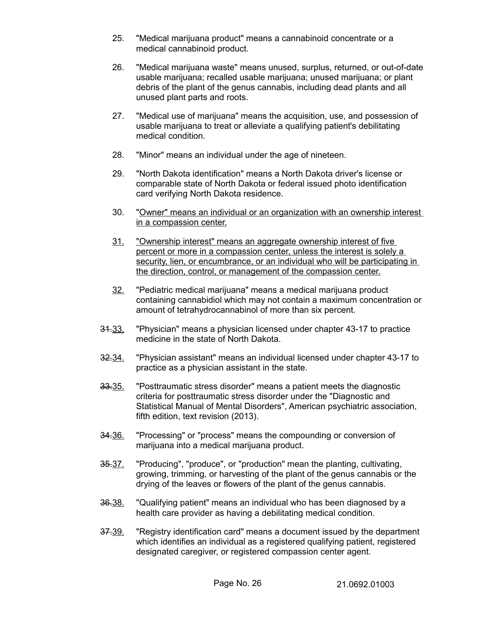- 25. "Medical marijuana product" means a cannabinoid concentrate or a medical cannabinoid product.
- 26. "Medical marijuana waste" means unused, surplus, returned, or out-of-date usable marijuana; recalled usable marijuana; unused marijuana; or plant debris of the plant of the genus cannabis, including dead plants and all unused plant parts and roots.
- 27. "Medical use of marijuana" means the acquisition, use, and possession of usable marijuana to treat or alleviate a qualifying patient's debilitating medical condition.
- 28. "Minor" means an individual under the age of nineteen.
- 29. "North Dakota identification" means a North Dakota driver's license or comparable state of North Dakota or federal issued photo identification card verifying North Dakota residence.
- 30. " Owner " means an individual or an organization with an ownership interest in a compassion center.
- 31. "Ownership interest" means an aggregate ownership interest of five percent or more in a compassion center, unless the interest is solely a security, lien, or encumbrance, or an individual who will be participating in the direction, control, or management of the compassion center.
- 32. "Pediatric medical marijuana" means a medical marijuana product containing cannabidiol which may not contain a maximum concentration or amount of tetrahydrocannabinol of more than six percent.
- 31.33. "Physician" means a physician licensed under chapter 43-17 to practice medicine in the state of North Dakota.
- 32.34. "Physician assistant" means an individual licensed under chapter 43-17 to practice as a physician assistant in the state.
- 33.35. "Posttraumatic stress disorder" means a patient meets the diagnostic criteria for posttraumatic stress disorder under the "Diagnostic and Statistical Manual of Mental Disorders", American psychiatric association, fifth edition, text revision (2013).
- 34.36. "Processing" or "process" means the compounding or conversion of marijuana into a medical marijuana product.
- 35.37. "Producing", "produce", or "production" mean the planting, cultivating, growing, trimming, or harvesting of the plant of the genus cannabis or the drying of the leaves or flowers of the plant of the genus cannabis.
- 36.38. "Qualifying patient" means an individual who has been diagnosed by a health care provider as having a debilitating medical condition.
- 37.39. "Registry identification card" means a document issued by the department which identifies an individual as a registered qualifying patient, registered designated caregiver, or registered compassion center agent.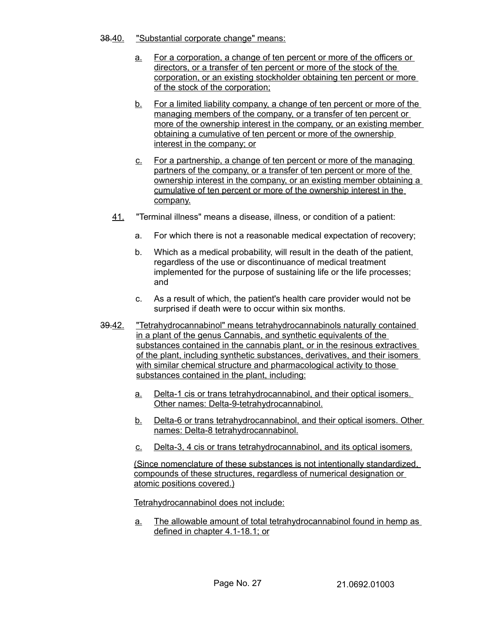- 38.40. "Substantial corporate change" means:
	- a. For a corporation, a change of ten percent or more of the officers or directors, or a transfer of ten percent or more of the stock of the corporation, or an existing stockholder obtaining ten percent or more of the stock of the corporation;
	- b. For a limited liability company, a change of ten percent or more of the managing members of the company, or a transfer of ten percent or more of the ownership interest in the company, or an existing member obtaining a cumulative of ten percent or more of the ownership interest in the company; or
	- c. For a partnership, a change of ten percent or more of the managing partners of the company, or a transfer of ten percent or more of the ownership interest in the company, or an existing member obtaining a cumulative of ten percent or more of the ownership interest in the company.
	- 41. "Terminal illness" means a disease, illness, or condition of a patient:
		- a. For which there is not a reasonable medical expectation of recovery;
		- b. Which as a medical probability, will result in the death of the patient, regardless of the use or discontinuance of medical treatment implemented for the purpose of sustaining life or the life processes; and
		- c. As a result of which, the patient's health care provider would not be surprised if death were to occur within six months.
- 39.42. "Tetrahydrocannabinol" means tetrahydrocannabinols naturally contained in a plant of the genus Cannabis, and synthetic equivalents of the substances contained in the cannabis plant, or in the resinous extractives of the plant, including synthetic substances, derivatives, and their isomers with similar chemical structure and pharmacological activity to those substances contained in the plant, including:
	- a. Delta-1 cis or trans tetrahydrocannabinol, and their optical isomers. Other names: Delta-9-tetrahydrocannabinol.
	- b. Delta-6 or trans tetrahydrocannabinol, and their optical isomers. Other names: Delta-8 tetrahydrocannabinol.
	- c. Delta-3, 4 cis or trans tetrahydrocannabinol, and its optical isomers.

(Since nomenclature of these substances is not intentionally standardized, compounds of these structures, regardless of numerical designation or atomic positions covered.)

Tetrahydrocannabinol does not include:

a. The allowable amount of total tetrahydrocannabinol found in hemp as defined in chapter 4.1-18.1; or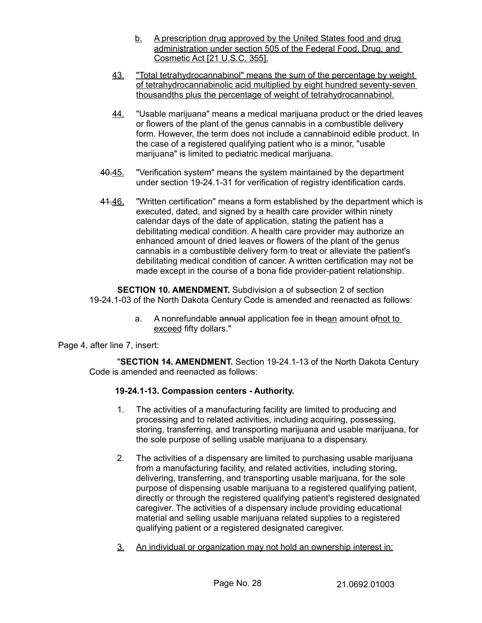- b. A prescription drug approved by the United States food and drug administration under section 505 of the Federal Food, Drug, and Cosmetic Act [21 U.S.C. 355].
- 43. "Total tetrahydrocannabinol" means the sum of the percentage by weight of tetrahydrocannabinolic acid multiplied by eight hundred seventy-seven thousandths plus the percentage of weight of tetrahydrocannabinol.
- 44. "Usable marijuana" means a medical marijuana product or the dried leaves or flowers of the plant of the genus cannabis in a combustible delivery form. However, the term does not include a cannabinoid edible product. In the case of a registered qualifying patient who is a minor, "usable marijuana" is limited to pediatric medical marijuana.
- 40.45. "Verification system" means the system maintained by the department under section 19-24.1-31 for verification of registry identification cards.
- 41.46. "Written certification" means a form established by the department which is executed, dated, and signed by a health care provider within ninety calendar days of the date of application, stating the patient has a debilitating medical condition. A health care provider may authorize an enhanced amount of dried leaves or flowers of the plant of the genus cannabis in a combustible delivery form to treat or alleviate the patient's debilitating medical condition of cancer. A written certification may not be made except in the course of a bona fide provider-patient relationship.

**SECTION 10. AMENDMENT.** Subdivision a of subsection 2 of section 19-24.1-03 of the North Dakota Century Code is amended and reenacted as follows:

> a. A nonrefundable annual application fee in thean amount of not to exceed fifty dollars."

Page 4, after line 7, insert:

"**SECTION 14. AMENDMENT.** Section 19-24.1-13 of the North Dakota Century Code is amended and reenacted as follows:

# **19-24.1-13. Compassion centers - Authority.**

- 1. The activities of a manufacturing facility are limited to producing and processing and to related activities, including acquiring, possessing, storing, transferring, and transporting marijuana and usable marijuana, for the sole purpose of selling usable marijuana to a dispensary.
- 2. The activities of a dispensary are limited to purchasing usable marijuana from a manufacturing facility, and related activities, including storing, delivering, transferring, and transporting usable marijuana, for the sole purpose of dispensing usable marijuana to a registered qualifying patient, directly or through the registered qualifying patient's registered designated caregiver. The activities of a dispensary include providing educational material and selling usable marijuana related supplies to a registered qualifying patient or a registered designated caregiver.
- 3. An individual or organization may not hold an ownership interest in: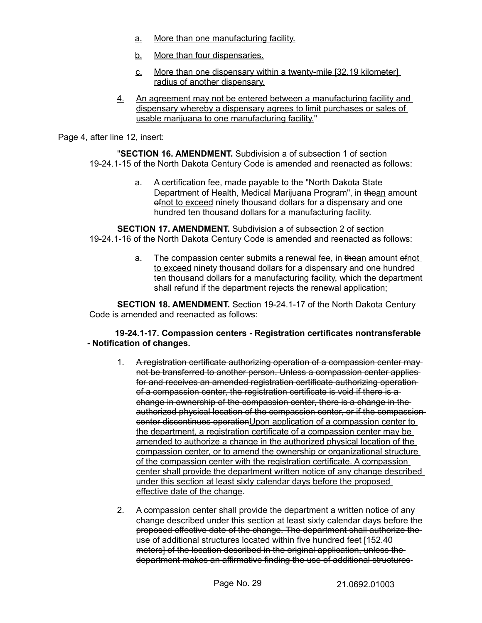- a. More than one manufacturing facility.
- b. More than four dispensaries.
- c. More than one dispensary within a twenty-mile [32.19 kilometer] radius of another dispensary.
- 4. An agreement may not be entered between a manufacturing facility and dispensary whereby a dispensary agrees to limit purchases or sales of usable marijuana to one manufacturing facility."

Page 4, after line 12, insert:

"**SECTION 16. AMENDMENT.** Subdivision a of subsection 1 of section 19-24.1-15 of the North Dakota Century Code is amended and reenacted as follows:

> a. A certification fee, made payable to the "North Dakota State Department of Health, Medical Marijuana Program", in thean amount ofnot to exceed ninety thousand dollars for a dispensary and one hundred ten thousand dollars for a manufacturing facility.

**SECTION 17. AMENDMENT.** Subdivision a of subsection 2 of section 19-24.1-16 of the North Dakota Century Code is amended and reenacted as follows:

> a. The compassion center submits a renewal fee, in thean amount ofnot to exceed ninety thousand dollars for a dispensary and one hundred ten thousand dollars for a manufacturing facility, which the department shall refund if the department rejects the renewal application;

**SECTION 18. AMENDMENT.** Section 19-24.1-17 of the North Dakota Century Code is amended and reenacted as follows:

## **19-24.1-17. Compassion centers - Registration certificates nontransferable - Notification of changes.**

- 1. A registration certificate authorizing operation of a compassion center may not be transferred to another person. Unless a compassion center applies for and receives an amended registration certificate authorizing operation of a compassion center, the registration certificate is void if there is a change in ownership of the compassion center, there is a change in the authorized physical location of the compassion center, or if the compassion center discontinues operationUpon application of a compassion center to the department, a registration certificate of a compassion center may be amended to authorize a change in the authorized physical location of the compassion center, or to amend the ownership or organizational structure of the compassion center with the registration certificate. A compassion center shall provide the department written notice of any change described under this section at least sixty calendar days before the proposed effective date of the change.
- 2. A compassion center shall provide the department a written notice of anychange described under this section at least sixty calendar days before the proposed effective date of the change. The department shall authorize the use of additional structures located within five hundred feet [152.40 meters] of the location described in the original application, unless the department makes an affirmative finding the use of additional structures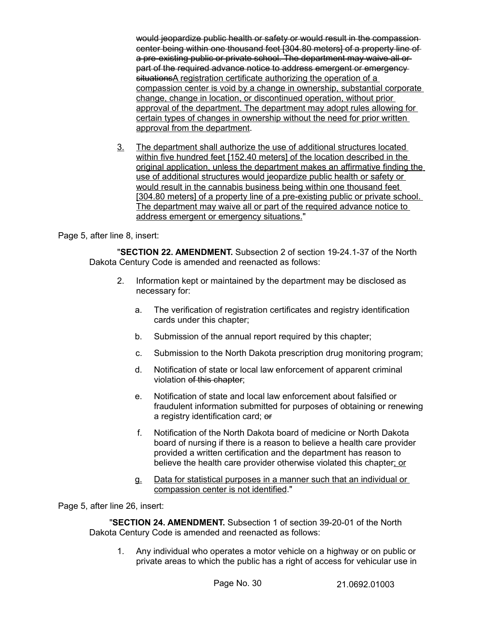would jeopardize public health or safety or would result in the compassioncenter being within one thousand feet [304.80 meters] of a property line of a pre-existing public or private school. The department may waive all or part of the required advance notice to address emergent or emergencysituationsA registration certificate authorizing the operation of a compassion center is void by a change in ownership, substantial corporate change, change in location, or discontinued operation, without prior approval of the department. The department may adopt rules allowing for certain types of changes in ownership without the need for prior written approval from the department.

3. The department shall authorize the use of additional structures located within five hundred feet [152.40 meters] of the location described in the original application, unless the department makes an affirmative finding the use of additional structures would jeopardize public health or safety or would result in the cannabis business being within one thousand feet [304.80 meters] of a property line of a pre-existing public or private school. The department may waive all or part of the required advance notice to address emergent or emergency situations."

# Page 5, after line 8, insert:

"**SECTION 22. AMENDMENT.** Subsection 2 of section 19-24.1-37 of the North Dakota Century Code is amended and reenacted as follows:

- 2. Information kept or maintained by the department may be disclosed as necessary for:
	- a. The verification of registration certificates and registry identification cards under this chapter;
	- b. Submission of the annual report required by this chapter;
	- c. Submission to the North Dakota prescription drug monitoring program;
	- d. Notification of state or local law enforcement of apparent criminal violation of this chapter;
	- e. Notification of state and local law enforcement about falsified or fraudulent information submitted for purposes of obtaining or renewing a registry identification card; or
	- f. Notification of the North Dakota board of medicine or North Dakota board of nursing if there is a reason to believe a health care provider provided a written certification and the department has reason to believe the health care provider otherwise violated this chapter; or
	- g. Data for statistical purposes in a manner such that an individual or compassion center is not identified."

Page 5, after line 26, insert:

"**SECTION 24. AMENDMENT.** Subsection 1 of section 39-20-01 of the North Dakota Century Code is amended and reenacted as follows:

1. Any individual who operates a motor vehicle on a highway or on public or private areas to which the public has a right of access for vehicular use in